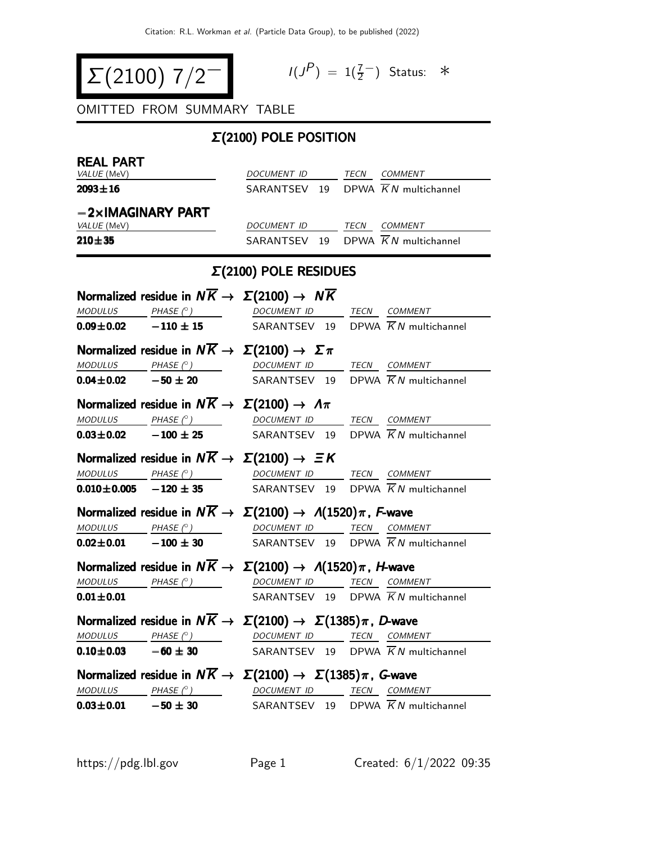$$
\Sigma(2100) 7/2
$$

$$
I(J^P) = 1(\frac{7}{2}^-) \quad \text{Status:} \quad *
$$

OMITTED FROM SUMMARY TABLE

# Σ(2100) POLE POSITION

| <b>REAL PART</b>          | VALUE (MeV)                                                                                                                                                                                                                    | DOCUMENT ID TECN COMMENT                       |  |                                                |
|---------------------------|--------------------------------------------------------------------------------------------------------------------------------------------------------------------------------------------------------------------------------|------------------------------------------------|--|------------------------------------------------|
| $2093 \pm 16$             |                                                                                                                                                                                                                                | SARANTSEV 19 DPWA $\overline{K}N$ multichannel |  |                                                |
|                           |                                                                                                                                                                                                                                |                                                |  |                                                |
|                           | $-2\times$ IMAGINARY PART                                                                                                                                                                                                      |                                                |  |                                                |
| VALUE (MeV)<br>$210 + 35$ |                                                                                                                                                                                                                                | DOCUMENT ID TECN COMMENT                       |  | SARANTSEV 19 DPWA $\overline{K}N$ multichannel |
|                           |                                                                                                                                                                                                                                |                                                |  |                                                |
|                           |                                                                                                                                                                                                                                | $\Sigma(2100)$ POLE RESIDUES                   |  |                                                |
|                           | Normalized residue in $N\overline{K} \rightarrow \Sigma(2100) \rightarrow N\overline{K}$                                                                                                                                       |                                                |  |                                                |
|                           | $\begin{array}{ccc}\textit{MODULUS} & \quad \textit{PHASE (}^{\circ}) & \quad \textit{DOCUMENT ID} & \quad \textit{TECN} \quad \textit{COMMENT} \end{array}$                                                                   |                                                |  |                                                |
|                           | <b>0.09±0.02</b> -110 ± 15 SARANTSEV 19 DPWA $\overline{K}N$ multichannel                                                                                                                                                      |                                                |  |                                                |
|                           | Normalized residue in $N\overline{K} \rightarrow \Sigma(2100) \rightarrow \Sigma \pi$                                                                                                                                          |                                                |  |                                                |
|                           | MODULUS PHASE $(°)$ DOCUMENT ID TECN COMMENT                                                                                                                                                                                   |                                                |  |                                                |
|                           | <b>0.04±0.02</b> - 50 ± 20 SARANTSEV 19 DPWA $\overline{K}N$ multichannel                                                                                                                                                      |                                                |  |                                                |
|                           | Normalized residue in $N\overline{K} \to \Sigma(2100) \to \Lambda \pi$                                                                                                                                                         |                                                |  |                                                |
|                           | $\begin{array}{cccccc} \textit{MODULUS} & \hspace{1.5cm} \textit{PHASE (}^{\circ}) & \hspace{1.5cm} \textit{DOCUMENT ID} & \hspace{1.5cm} \textit{TECN} & \hspace{1.5cm} \textit{COMMENT} & \hspace{1.5cm} \end{array}$        |                                                |  |                                                |
|                           | <b>0.03±0.02</b> -100 ± 25 SARANTSEV 19 DPWA $\overline{K}N$ multichannel                                                                                                                                                      |                                                |  |                                                |
|                           | Normalized residue in $N\overline{K} \rightarrow \Sigma(2100) \rightarrow \Xi K$                                                                                                                                               |                                                |  |                                                |
|                           |                                                                                                                                                                                                                                |                                                |  |                                                |
|                           | $\frac{MODULUS}{DOCD}$ PHASE (°) DOCUMENT ID TECN COMMENT<br><b>0.010±0.005</b> - <b>120 ± 35</b> SARANTSEV 19 DPWA $\overline{K}N$ multichannel                                                                               |                                                |  |                                                |
|                           | Normalized residue in $N\overline{K} \to \Sigma(2100) \to \Lambda(1520)\pi$ , F-wave                                                                                                                                           |                                                |  |                                                |
|                           | $\begin{array}{ccccccccc}\textit{MODULUS} & \hspace{0.1cm} & \textit{PHASE}& \texttt{?} & \hspace{0.1cm} & \textit{DOCUMENT} & \textit{ID} & \hspace{0.1cm} & \textit{TECN} & \hspace{0.1cm} & \textit{COMMENT} & \end{array}$ |                                                |  |                                                |
|                           | <b>0.02±0.01</b> -100 ± 30 SARANTSEV 19 DPWA $\overline{K}N$ multichannel                                                                                                                                                      |                                                |  |                                                |
|                           | Normalized residue in $N\overline{K} \to \Sigma(2100) \to \Lambda(1520)\pi$ , <i>H</i> -wave                                                                                                                                   |                                                |  |                                                |
|                           | $\underline{\textit{MODULUS}} \qquad \underline{\textit{PHASE (}^{\circ}) \qquad} \qquad \underline{\textit{DOCUMENT ID}} \qquad \underline{\textit{TECN}} \quad \underline{\textit{COMMENT}}$                                 |                                                |  |                                                |
| $0.01 \!\pm\! 0.01$       |                                                                                                                                                                                                                                |                                                |  | SARANTSEV 19 DPWA $\overline{K}N$ multichannel |
|                           | Normalized residue in $N\overline{K} \to \Sigma(2100) \to \Sigma(1385)\pi$ , D-wave                                                                                                                                            |                                                |  |                                                |
|                           | $\begin{array}{ccccccccc} \textit{MODULUS} & \textit{PHASE (}^{\circ}) & \textit{OOCUMENT ID} & \textit{TECN} & \textit{COMMENT} & \textit{O.} \end{array}$                                                                    |                                                |  |                                                |
|                           | <b>0.10±0.03</b> $-60 \pm 30$ SARANTSEV 19 DPWA $\overline{K}N$ multichannel                                                                                                                                                   |                                                |  |                                                |
|                           | Normalized residue in $N\overline{K} \to \Sigma(2100) \to \Sigma(1385)\pi$ , G-wave                                                                                                                                            |                                                |  |                                                |
|                           | $\textit{MODULUS} \qquad \qquad \textit{PHASE} \text{ }(^{\circ}) \qquad \qquad \textit{DOCUMENT ID} \qquad \qquad \textit{TECN} \quad \textit{COMMENT}$                                                                       |                                                |  |                                                |
|                           | $0.03 \pm 0.01$ $-50 \pm 30$                                                                                                                                                                                                   | SARANTSEV 19 DPWA $\overline{K}N$ multichannel |  |                                                |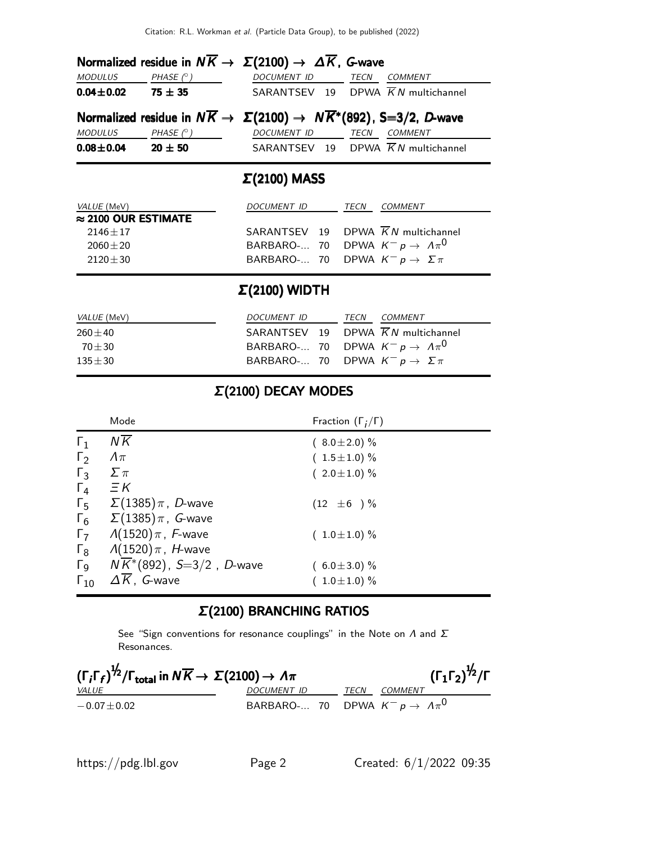| Normalized residue in $N\overline{K} \to \Sigma(2100) \to \Delta \overline{K}$ , G-wave |                  |                                                                                                 |  |  |  |  |  |
|-----------------------------------------------------------------------------------------|------------------|-------------------------------------------------------------------------------------------------|--|--|--|--|--|
| <b>MODULUS</b>                                                                          | PHASE $(^\circ)$ | DOCUMENT ID<br>TECN<br><b>COMMENT</b>                                                           |  |  |  |  |  |
| $0.04 \pm 0.02$                                                                         | $75 \pm 35$      | SARANTSEV 19 DPWA $\overline{K}N$ multichannel                                                  |  |  |  |  |  |
|                                                                                         |                  | Normalized residue in $N\overline{K} \to \Sigma(2100) \to N\overline{K}^*(892)$ , S=3/2, D-wave |  |  |  |  |  |
| MODULUS                                                                                 | PHASE $(^\circ)$ | DOCUMENT ID<br>TECN<br>COMMENT                                                                  |  |  |  |  |  |
| $0.08 \pm 0.04$                                                                         | $20 \pm 50$      | SARANTSEV 19 DPWA $\overline{K}N$ multichannel                                                  |  |  |  |  |  |

# Σ(2100) MASS

| <i>VALUE</i> (MeV)          | DOCUMENT ID                                    | TECN | COMMENT |
|-----------------------------|------------------------------------------------|------|---------|
| $\approx$ 2100 OUR ESTIMATE |                                                |      |         |
| $2146 + 17$                 | SARANTSEV 19 DPWA $\overline{K}N$ multichannel |      |         |
| $2060 + 20$                 | BARBARO- 70 DPWA $K^- p \to \Lambda \pi^0$     |      |         |
| $2120 + 30$                 | BARBARO- 70 DPWA $K^- p \to \Sigma \pi$        |      |         |
|                             |                                                |      |         |

# Σ(2100) WIDTH

| <i>VALUE</i> (MeV) | DOCUMENT ID                                        | TECN | <i>COMMENT</i> |
|--------------------|----------------------------------------------------|------|----------------|
| $260 + 40$         | SARANTSEV 19 DPWA $\overline{K}N$ multichannel     |      |                |
| $70 + 30$          | BARBARO- 70 DPWA $K^- p \rightarrow \Lambda \pi^0$ |      |                |
| $135 + 30$         | BARBARO- 70 DPWA $K^- p \to \Sigma \pi$            |      |                |

# Σ(2100) DECAY MODES

|                       | Mode                                                          | Fraction $(\Gamma_i/\Gamma)$ |
|-----------------------|---------------------------------------------------------------|------------------------------|
| $\Gamma_1$            | $N\overline{K}$                                               | $(8.0 \pm 2.0)$ %            |
| $\Gamma_2$            | $\Lambda \pi$                                                 | $(1.5 \pm 1.0) \%$           |
| $\Gamma_3$            | $\Sigma \pi$                                                  | $(2.0 \pm 1.0) \%$           |
| $\Gamma_4$            | $\Xi K$                                                       |                              |
|                       | $\Gamma_5$ $\Sigma(1385)\pi$ , <i>D</i> -wave                 | $(12 \pm 6) \%$              |
| $\Gamma_6$            | $\Sigma(1385)\pi$ , $\,$ G-wave                               |                              |
|                       | $\Gamma$ <sub>7</sub> $\Lambda$ (1520) $\pi$ , <i>F</i> -wave | $(1.0 \pm 1.0)$ %            |
| $\Gamma_8$            | $\Lambda(1520)\pi$ , <i>H</i> -wave                           |                              |
| $\Gamma$ <sub>9</sub> | $N\overline{K}$ *(892), S=3/2, D-wave                         | $(6.0 \pm 3.0)\%$            |
| $\Gamma_{10}$         | $\Delta \overline{K}$ , G-wave                                | $(1.0 \pm 1.0) \%$           |

# Σ(2100) BRANCHING RATIOS

See "Sign conventions for resonance couplings" in the Note on  $\Lambda$  and  $\Sigma$ Resonances.

| $(\Gamma_i \Gamma_f)^{\frac{1}{2}} / \Gamma_{\text{total}}$ in $N \overline{K} \rightarrow \Sigma (2100) \rightarrow \Lambda \pi$ |                                                    | $(\Gamma_1\Gamma_2)^{\frac{1}{2}}/\Gamma$ |                |
|-----------------------------------------------------------------------------------------------------------------------------------|----------------------------------------------------|-------------------------------------------|----------------|
| <i>VALUE</i>                                                                                                                      | <i>DOCUMENT ID</i>                                 | TECN                                      | <i>COMMENT</i> |
| $-0.07 + 0.02$                                                                                                                    | BARBARO- 70 DPWA $K^- p \rightarrow \Lambda \pi^0$ |                                           |                |